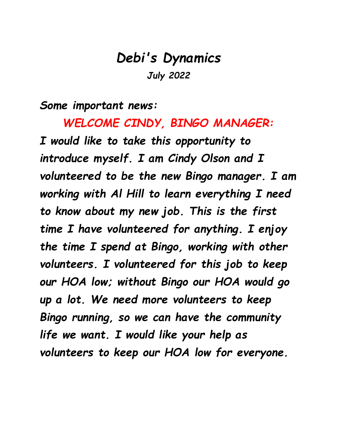## *Debi's Dynamics July 2022*

*Some important news:*

*WELCOME CINDY, BINGO MANAGER: I would like to take this opportunity to introduce myself. I am Cindy Olson and I volunteered to be the new Bingo manager. I am working with Al Hill to learn everything I need to know about my new job. This is the first time I have volunteered for anything. I enjoy the time I spend at Bingo, working with other volunteers. I volunteered for this job to keep our HOA low; without Bingo our HOA would go up a lot. We need more volunteers to keep Bingo running, so we can have the community life we want. I would like your help as volunteers to keep our HOA low for everyone.*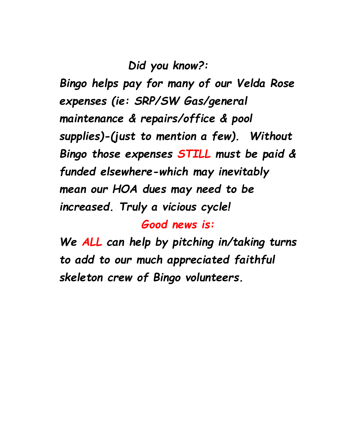*Did you know?:*

*Bingo helps pay for many of our Velda Rose expenses (ie: SRP/SW Gas/general maintenance & repairs/office & pool supplies)-(just to mention a few). Without Bingo those expenses STILL must be paid & funded elsewhere-which may inevitably mean our HOA dues may need to be increased. Truly a vicious cycle!*

*Good news is:*

*We ALL can help by pitching in/taking turns to add to our much appreciated faithful skeleton crew of Bingo volunteers.*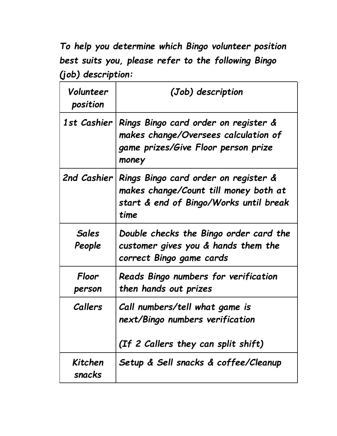*To help you determine which Bingo volunteer position best suits you, please refer to the following Bingo (job) description:*

| Volunteer<br>position  | (Job) description                                                                                                               |
|------------------------|---------------------------------------------------------------------------------------------------------------------------------|
| 1st Cashier            | Rings Bingo card order on register &<br>makes change/Oversees calculation of<br>game prizes/Give Floor person prize<br>money    |
| 2nd Cashier            | Rings Bingo card order on register &<br>makes change/Count till money both at<br>start & end of Bingo/Works until break<br>time |
| <b>Sales</b><br>People | Double checks the Bingo order card the<br>customer gives you & hands them the<br>correct Bingo game cards                       |
| Floor<br>person        | Reads Bingo numbers for verification<br>then hands out prizes                                                                   |
| Callers                | Call numbers/tell what game is<br>next/Bingo numbers verification<br>(If 2 Callers they can split shift)                        |
| Kitchen<br>snacks      | Setup & Sell snacks & coffee/Cleanup                                                                                            |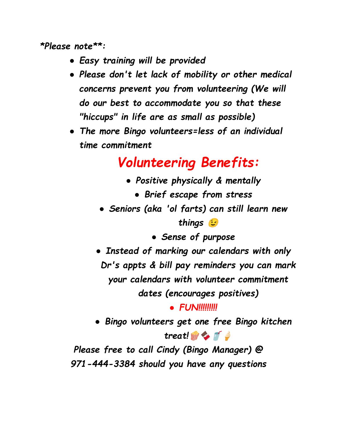*\*Please note\*\*:*

- *● Easy training will be provided*
- *● Please don't let lack of mobility or other medical concerns prevent you from volunteering (We will do our best to accommodate you so that these "hiccups" in life are as small as possible)*
- *● The more Bingo volunteers=less of an individual time commitment*

## *Volunteering Benefits:*

- *● Positive physically & mentally*
	- *● Brief escape from stress*
- *● Seniors (aka 'ol farts) can still learn new*

*things*

*● Sense of purpose*

*● Instead of marking our calendars with only Dr's appts & bill pay reminders you can mark your calendars with volunteer commitment dates (encourages positives)*

*● FUN!!!!!!!!!*

*● Bingo volunteers get one free Bingo kitchen treat!*

*Please free to call Cindy (Bingo Manager) @ 971-444-3384 should you have any questions*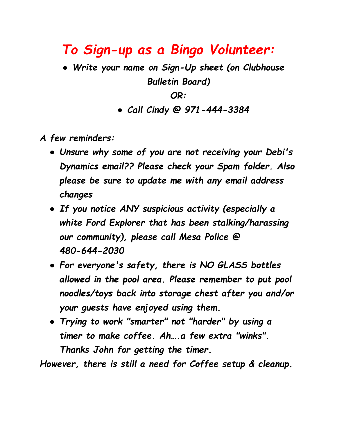## *To Sign-up as a Bingo Volunteer:*

*● Write your name on Sign-Up sheet (on Clubhouse Bulletin Board)*

*OR:*

*● Call Cindy @ 971-444-3384*

*A few reminders:*

- *● Unsure why some of you are not receiving your Debi's Dynamics email?? Please check your Spam folder. Also please be sure to update me with any email address changes*
- *● If you notice ANY suspicious activity (especially a white Ford Explorer that has been stalking/harassing our community), please call Mesa Police @ 480-644-2030*
- *● For everyone's safety, there is NO GLASS bottles allowed in the pool area. Please remember to put pool noodles/toys back into storage chest after you and/or your guests have enjoyed using them.*
- *● Trying to work "smarter" not "harder" by using a timer to make coffee. Ah….a few extra "winks". Thanks John for getting the timer.*

*However, there is still a need for Coffee setup & cleanup.*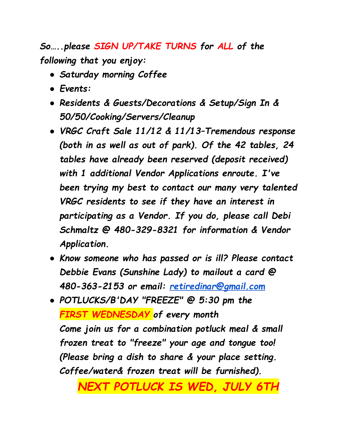*So…..please SIGN UP/TAKE TURNS for ALL of the following that you enjoy:*

- *● Saturday morning Coffee*
- *● Events:*
- *● Residents & Guests/Decorations & Setup/Sign In & 50/50/Cooking/Servers/Cleanup*
- *● VRGC Craft Sale 11/12 & 11/13–Tremendous response (both in as well as out of park). Of the 42 tables, 24 tables have already been reserved (deposit received) with 1 additional Vendor Applications enroute. I've been trying my best to contact our many very talented VRGC residents to see if they have an interest in participating as a Vendor. If you do, please call Debi Schmaltz @ 480-329-8321 for information & Vendor Application.*
- *● Know someone who has passed or is ill? Please contact Debbie Evans (Sunshine Lady) to mailout a card @ 480-363-2153 or email: [retiredinar@gmail.com](mailto:retiredinar@gmail.com)*
- *● POTLUCKS/B'DAY "FREEZE" @ 5:30 pm the FIRST WEDNESDAY of every month Come join us for a combination potluck meal & small frozen treat to "freeze" your age and tongue too! (Please bring a dish to share & your place setting. Coffee/water& frozen treat will be furnished).*

*NEXT POTLUCK IS WED, JULY 6TH*